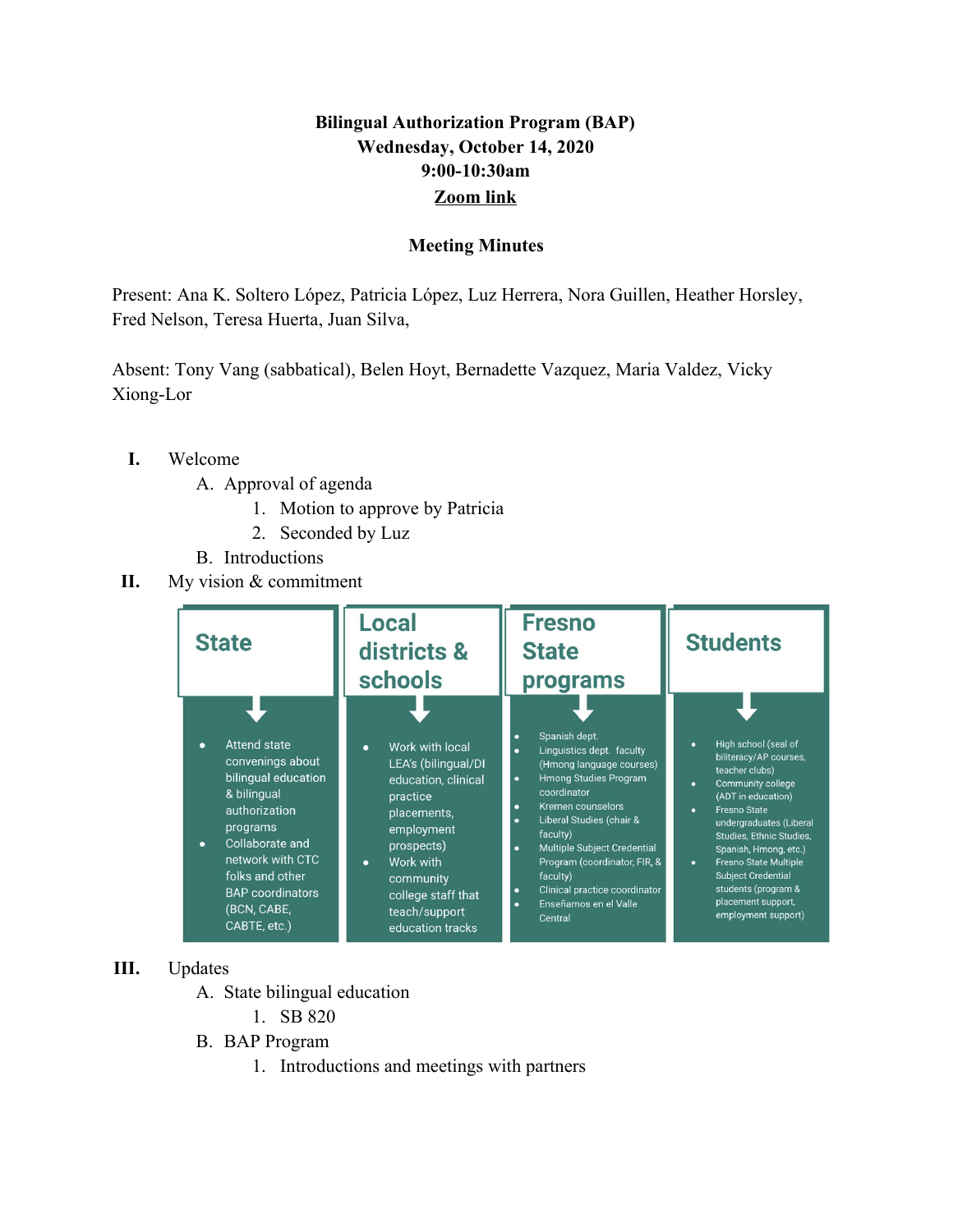## **Bilingual Authorization Program (BAP) Wednesday, October 14, 2020 9:00-10:30am [Zoom link](https://us02web.zoom.us/j/84320671498?pwd=QWhZTTFtRWlxalFTRlNkcUxQSmVUQT09)**

## **Meeting Minutes**

Present: Ana K. Soltero López, Patricia López, Luz Herrera, Nora Guillen, Heather Horsley, Fred Nelson, Teresa Huerta, Juan Silva,

Absent: Tony Vang (sabbatical), Belen Hoyt, Bernadette Vazquez, Maria Valdez, Vicky Xiong-Lor

- **I.** Welcome
	- A. Approval of agenda
		- 1. Motion to approve by Patricia
		- 2. Seconded by Luz
	- B. Introductions
- **II.** My vision & commitment



## **III.** Updates

- A. State bilingual education
	- 1. SB 820
- B. BAP Program
	- 1. Introductions and meetings with partners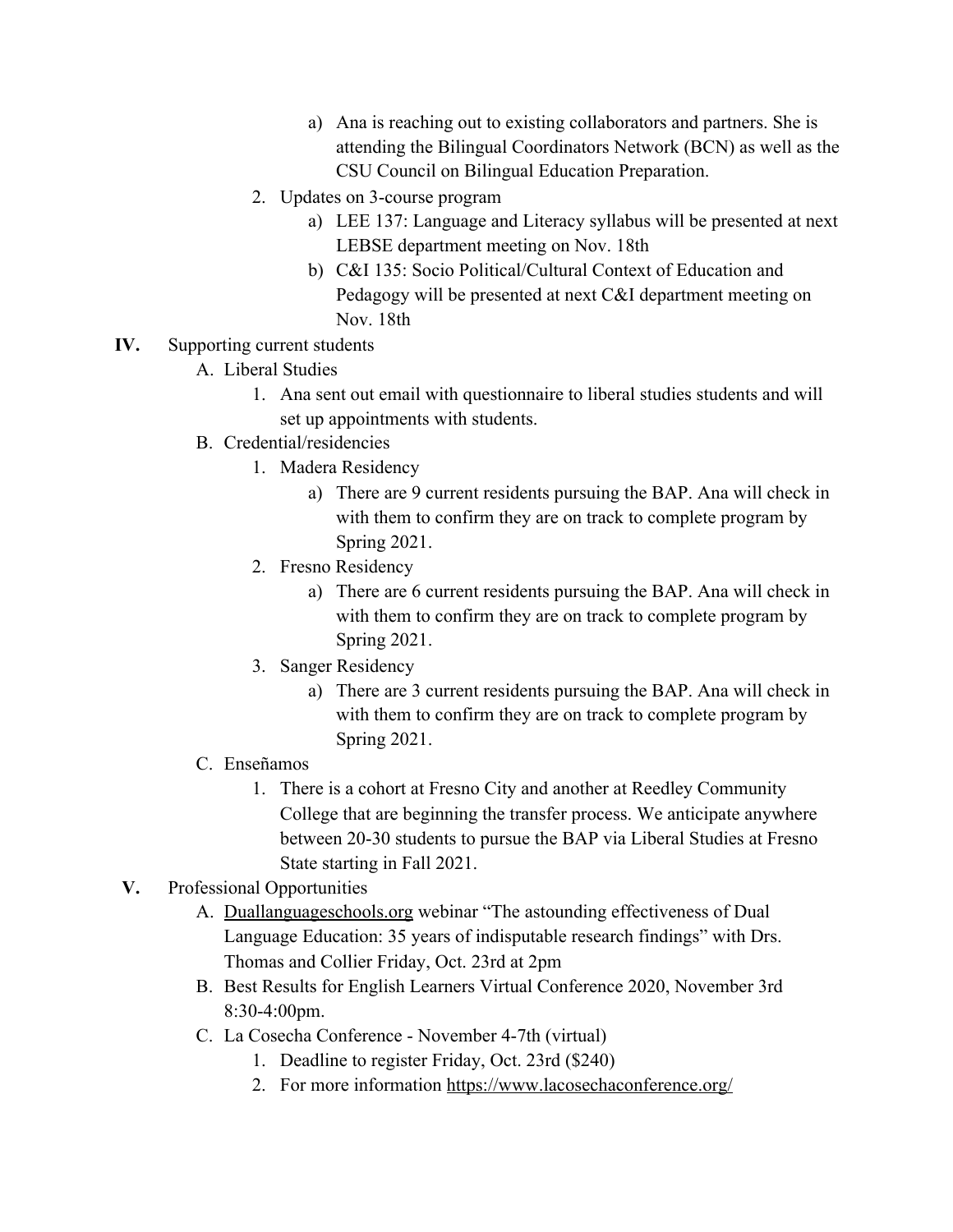- a) Ana is reaching out to existing collaborators and partners. She is attending the Bilingual Coordinators Network (BCN) as well as the CSU Council on Bilingual Education Preparation.
- 2. Updates on 3-course program
	- a) LEE 137: Language and Literacy syllabus will be presented at next LEBSE department meeting on Nov. 18th
	- b) C&I 135: Socio Political/Cultural Context of Education and Pedagogy will be presented at next C&I department meeting on Nov. 18th
- **IV.** Supporting current students
	- A. Liberal Studies
		- 1. Ana sent out email with questionnaire to liberal studies students and will set up appointments with students.
	- B. Credential/residencies
		- 1. Madera Residency
			- a) There are 9 current residents pursuing the BAP. Ana will check in with them to confirm they are on track to complete program by Spring 2021.
		- 2. Fresno Residency
			- a) There are 6 current residents pursuing the BAP. Ana will check in with them to confirm they are on track to complete program by Spring 2021.
		- 3. Sanger Residency
			- a) There are 3 current residents pursuing the BAP. Ana will check in with them to confirm they are on track to complete program by Spring 2021.
	- C. Enseñamos
		- 1. There is a cohort at Fresno City and another at Reedley Community College that are beginning the transfer process. We anticipate anywhere between 20-30 students to pursue the BAP via Liberal Studies at Fresno State starting in Fall 2021.

## **V.** Professional Opportunities

- A. [Duallanguageschools.org](https://duallanguageschools.org/) webinar "The astounding effectiveness of Dual Language Education: 35 years of indisputable research findings" with Drs. Thomas and Collier Friday, Oct. 23rd at 2pm
- B. Best Results for English Learners Virtual Conference 2020, November 3rd 8:30-4:00pm.
- C. La Cosecha Conference November 4-7th (virtual)
	- 1. Deadline to register Friday, Oct. 23rd (\$240)
	- 2. For more information <https://www.lacosechaconference.org/>